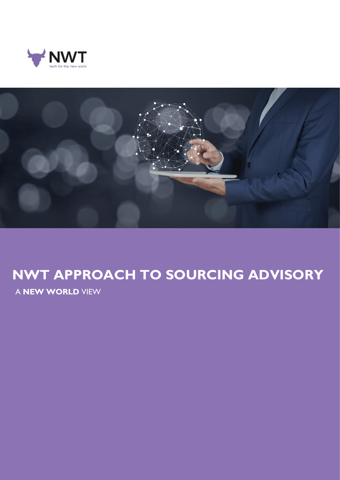



## **NWT APPROACH TO SOURCING ADVISORY**

A **NEW WORLD** VIEW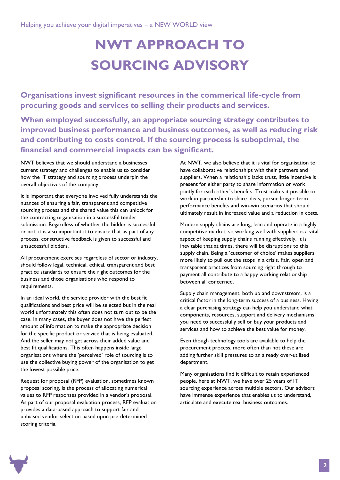# **NWT APPROACH TO SOURCING ADVISORY**

**Organisations invest significant resources in the commerical life-cycle from procuring goods and services to selling their products and services.** 

**When employed successfully, an appropriate sourcing strategy contributes to improved business performance and business outcomes, as well as reducing risk and contributing to costs control. If the sourcing process is suboptimal, the financial and commercial impacts can be significant.**

NWT believes that we should understand a businesses current strategy and challenges to enable us to consider how the IT strategy and sourcing process underpin the overall objectives of the company.

It is important that everyone involved fully understands the nuances of ensuring a fair, transparent and competitive sourcing process and the shared value this can unlock for the contracting organisation in a successful tender submission. Regardless of whether the bidder is successful or not, it is also important it to ensure that as part of any process, constructive feedback is given to successful and unsuccessful bidders.

All procurement exercises regardless of sector or industry, should follow legal, technical, ethical, transparent and best practice standards to ensure the right outcomes for the business and those organisations who respond to requirements.

In an ideal world, the service provider with the best fit qualifications and best price will be selected but in the real world unfortunately this often does not turn out to be the case. In many cases, the buyer does not have the perfect amount of information to make the appropriate decision for the specific product or service that is being evaluated. And the seller may not get across their added value and best fit qualifications. This often happens inside large organisations where the 'perceived' role of sourcing is to use the collective buying power of the organisation to get the lowest possible price.

Request for proposal (RFP) evaluation, sometimes known proposal scoring, is the process of allocating numerical values to RFP responses provided in a vendor's proposal. As part of our proposal evaluation process, RFP evaluation provides a data-based approach to support fair and unbiased vendor selection based upon pre-determined scoring criteria.

At NWT, we also believe that it is vital for organisation to have collaborative relationships with their partners and suppliers. When a relationship lacks trust, little incentive is present for either party to share information or work jointly for each other's benefits. Trust makes it possible to work in partnership to share ideas, pursue longer-term performance benefits and win-win scenarios that should ultimately result in increased value and a reduction in costs.

Modern supply chains are long, lean and operate in a highly competitive market, so working well with suppliers is a vital aspect of keeping supply chains running effectively. It is inevitable that at times, there will be disruptions to this supply chain. Being a 'customer of choice' makes suppliers more likely to pull out the stops in a crisis. Fair, open and transparent practices from sourcing right through to payment all contribute to a happy working relationship between all concerned.

Supply chain management, both up and downstream, is a critical factor in the long-term success of a business. Having a clear purchasing strategy can help you understand what components, resources, support and delivery mechanisms you need to successfully sell or buy your products and services and how to achieve the best value for money.

Even though technology tools are available to help the procurement process, more often than not these are adding further skill pressures to an already over-utilised department.

Many organisations find it difficult to retain experienced people, here at NWT, we have over 25 years of IT sourcing experience across multiple sectors. Our advisors have immense experience that enables us to understand, articulate and execute real business outcomes.

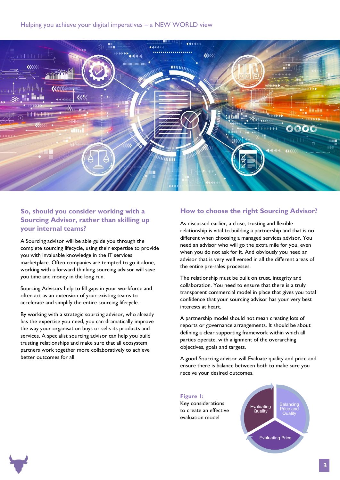

#### **So, should you consider working with a Sourcing Advisor, rather than skilling up your internal teams?**

A Sourcing advisor will be able guide you through the complete sourcing lifecycle, using their expertise to provide you with invaluable knowledge in the IT services marketplace. Often companies are tempted to go it alone, working with a forward thinking sourcing advisor will save you time and money in the long run.

Sourcing Advisors help to fill gaps in your workforce and often act as an extension of your existing teams to accelerate and simplify the entire sourcing lifecycle.

By working with a strategic sourcing advisor, who already has the expertise you need, you can dramatically improve the way your organisation buys or sells its products and services. A specialist sourcing advisor can help you build trusting relationships and make sure that all ecosystem partners work together more collaboratively to achieve better outcomes for all.

#### **How to choose the right Sourcing Advisor?**

As discussed earlier, a close, trusting and flexible relationship is vital to building a partnership and that is no different when choosing a managed services advisor. You need an advisor who will go the extra mile for you, even when you do not ask for it. And obviously you need an advisor that is very well versed in all the different areas of the entire pre-sales processes.

The relationship must be built on trust, integrity and collaboration. You need to ensure that there is a truly transparent commercial model in place that gives you total confidence that your sourcing advisor has your very best interests at heart.

A partnership model should not mean creating lots of reports or governance arrangements. It should be about defining a clear supporting framework within which all parties operate, with alignment of the overarching objectives, goals and targets.

A good Sourcing advisor will Evaluate quality and price and ensure there is balance between both to make sure you receive your desired outcomes.





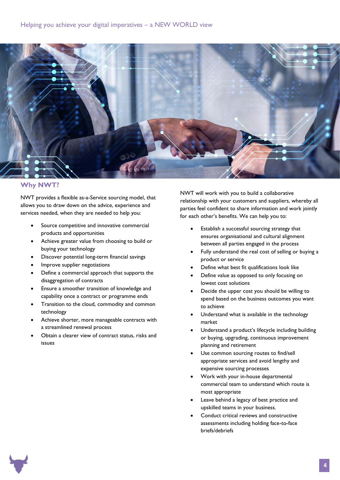

#### **Why NWT?**

NWT provides a flexible as-a-Service sourcing model, that allows you to draw down on the advice, experience and services needed, when they are needed to help you:

- Source competitive and innovative commercial products and opportunities
- Achieve greater value from choosing to build or buying your technology
- Discover potential long-term financial savings
- Improve supplier negotiations
- Define a commercial approach that supports the disaggregation of contracts
- Ensure a smoother transition of knowledge and capability once a contract or programme ends
- Transition to the cloud, commodity and common technology
- Achieve shorter, more manageable contracts with a streamlined renewal process
- Obtain a clearer view of contract status, risks and issues

NWT will work with you to build a collaborative relationship with your customers and suppliers, whereby all parties feel confident to share information and work jointly for each other's benefits. We can help you to:

- Establish a successful sourcing strategy that ensures organisational and cultural alignment between all parties engaged in the process
- Fully understand the real cost of selling or buying a product or service
- Define what best fit qualifications look like
- Define value as opposed to only focusing on lowest cost solutions
- Decide the upper cost you should be willing to spend based on the business outcomes you want to achieve
- Understand what is available in the technology market
- Understand a product's lifecycle including building or buying, upgrading, continuous improvement planning and retirement
- Use common sourcing routes to find/sell appropriate services and avoid lengthy and expensive sourcing processes
- Work with your in-house departmental commercial team to understand which route is most appropriate
- Leave behind a legacy of best practice and upskilled teams in your business.
- Conduct critical reviews and constructive assessments including holding face-to-face briefs/debriefs

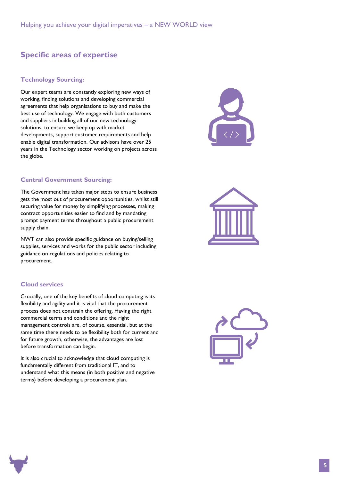### **Specific areas of expertise**

#### **Technology Sourcing:**

Our expert teams are constantly exploring new ways of working, finding solutions and developing commercial agreements that help organisations to buy and make the best use of technology. We engage with both customers and suppliers in building all of our new technology solutions, to ensure we keep up with market developments, support customer requirements and help enable digital transformation. Our advisors have over 25 years in the Technology sector working on projects across the globe.



The Government has taken major steps to ensure business gets the most out of procurement opportunities, whilst still securing value for money by simplifying processes, making contract opportunities easier to find and by mandating prompt payment terms throughout a public procurement supply chain.

NWT can also provide specific guidance on buying/selling supplies, services and works for the public sector including guidance on regulations and policies relating to procurement.

#### **Cloud services**

Crucially, one of the key benefits of cloud computing is its flexibility and agility and it is vital that the procurement process does not constrain the offering. Having the right commercial terms and conditions and the right management controls are, of course, essential, but at the same time there needs to be flexibility both for current and for future growth, otherwise, the advantages are lost before transformation can begin.

It is also crucial to acknowledge that cloud computing is fundamentally different from traditional IT, and to understand what this means (in both positive and negative terms) before developing a procurement plan.